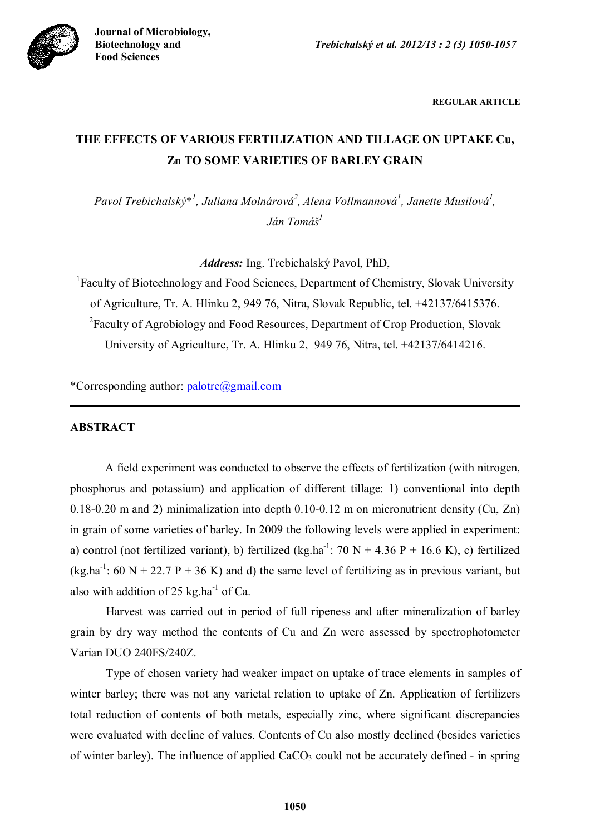

**REGULAR ARTICLE**

# **THE EFFECTS OF VARIOUS FERTILIZATION AND TILLAGE ON UPTAKE Cu, Zn TO SOME VARIETIES OF BARLEY GRAIN**

Pavol Trebichalský\*<sup>1</sup>, Juliana Molnárová<sup>2</sup>, Alena Vollmannová<sup>1</sup>, Janette Musilová<sup>1</sup>, *Ján Tomáš<sup>1</sup>*

*Address:* Ing. Trebichalský Pavol, PhD,

<sup>1</sup>Faculty of Biotechnology and Food Sciences, Department of Chemistry, Slovak University of Agriculture, Tr. A. Hlinku 2, 949 76, Nitra, Slovak Republic, tel. +42137/6415376. <sup>2</sup> Faculty of Agrobiology and Food Resources, Department of Crop Production, Slovak University of Agriculture, Tr. A. Hlinku 2, 949 76, Nitra, tel. +42137/6414216.

\*Corresponding author: palotre@gmail.com

## **ABSTRACT**

A field experiment was conducted to observe the effects of fertilization (with nitrogen, phosphorus and potassium) and application of different tillage: 1) conventional into depth 0.18-0.20 m and 2) minimalization into depth 0.10-0.12 m on micronutrient density (Cu, Zn) in grain of some varieties of barley. In 2009 the following levels were applied in experiment: a) control (not fertilized variant), b) fertilized (kg.ha<sup>-1</sup>: 70 N + 4.36 P + 16.6 K), c) fertilized  $(kg.ha^{-1}$ : 60 N + 22.7 P + 36 K) and d) the same level of fertilizing as in previous variant, but also with addition of 25 kg.ha<sup>-1</sup> of Ca.

Harvest was carried out in period of full ripeness and after mineralization of barley grain by dry way method the contents of Cu and Zn were assessed by spectrophotometer Varian DUO 240FS/240Z.

Type of chosen variety had weaker impact on uptake of trace elements in samples of winter barley; there was not any varietal relation to uptake of Zn. Application of fertilizers total reduction of contents of both metals, especially zinc, where significant discrepancies were evaluated with decline of values. Contents of Cu also mostly declined (besides varieties of winter barley). The influence of applied  $CaCO<sub>3</sub>$  could not be accurately defined - in spring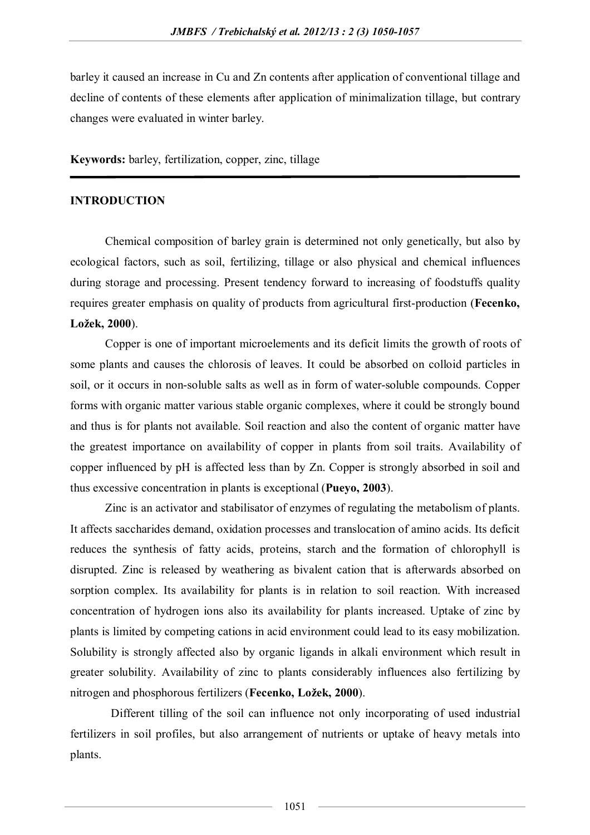barley it caused an increase in Cu and Zn contents after application of conventional tillage and decline of contents of these elements after application of minimalization tillage, but contrary changes were evaluated in winter barley.

**Keywords:** barley, fertilization, copper, zinc, tillage

#### **INTRODUCTION**

Chemical composition of barley grain is determined not only genetically, but also by ecological factors, such as soil, fertilizing, tillage or also physical and chemical influences during storage and processing. Present tendency forward to increasing of foodstuffs quality requires greater emphasis on quality of products from agricultural first-production (**Fecenko, Ložek, 2000**).

Copper is one of important microelements and its deficit limits the growth of roots of some plants and causes the chlorosis of leaves. It could be absorbed on colloid particles in soil, or it occurs in non-soluble salts as well as in form of water-soluble compounds. Copper forms with organic matter various stable organic complexes, where it could be strongly bound and thus is for plants not available. Soil reaction and also the content of organic matter have the greatest importance on availability of copper in plants from soil traits. Availability of copper influenced by pH is affected less than by Zn. Copper is strongly absorbed in soil and thus excessive concentration in plants is exceptional (**Pueyo, 2003**).

Zinc is an activator and stabilisator of enzymes of regulating the metabolism of plants. It affects saccharides demand, oxidation processes and translocation of amino acids. Its deficit reduces the synthesis of fatty acids, proteins, starch and the formation of chlorophyll is disrupted. Zinc is released by weathering as bivalent cation that is afterwards absorbed on sorption complex. Its availability for plants is in relation to soil reaction. With increased concentration of hydrogen ions also its availability for plants increased. Uptake of zinc by plants is limited by competing cations in acid environment could lead to its easy mobilization. Solubility is strongly affected also by organic ligands in alkali environment which result in greater solubility. Availability of zinc to plants considerably influences also fertilizing by nitrogen and phosphorous fertilizers (**Fecenko, Ložek, 2000**).

 Different tilling of the soil can influence not only incorporating of used industrial fertilizers in soil profiles, but also arrangement of nutrients or uptake of heavy metals into plants.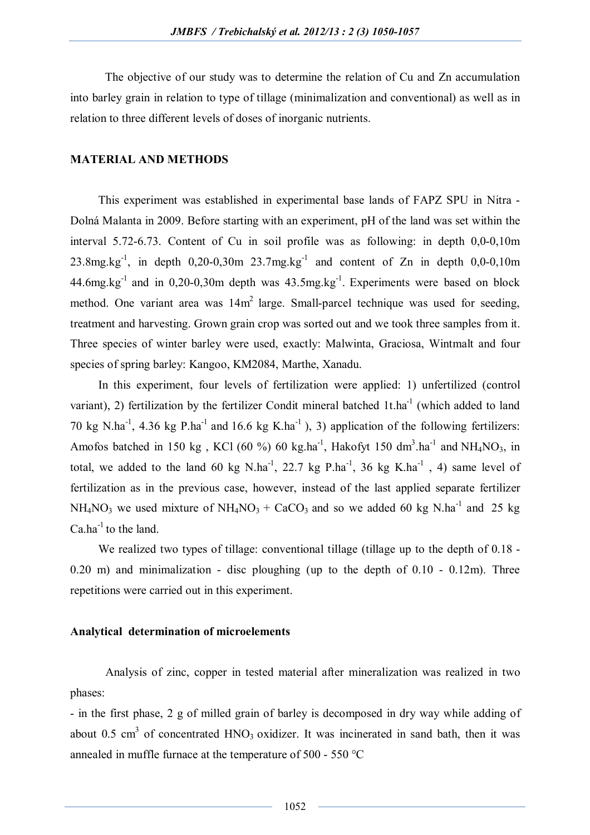The objective of our study was to determine the relation of Cu and Zn accumulation into barley grain in relation to type of tillage (minimalization and conventional) as well as in relation to three different levels of doses of inorganic nutrients.

## **MATERIAL AND METHODS**

This experiment was established in experimental base lands of FAPZ SPU in Nitra - Dolná Malanta in 2009. Before starting with an experiment, pH of the land was set within the interval 5.72-6.73. Content of Cu in soil profile was as following: in depth 0,0-0,10m 23.8mg.kg<sup>-1</sup>, in depth  $0,20$ -0,30m  $23.7$ mg.kg<sup>-1</sup> and content of Zn in depth  $0,0$ -0,10m  $44.6$ mg.kg<sup>-1</sup> and in 0,20-0,30m depth was  $43.5$ mg.kg<sup>-1</sup>. Experiments were based on block method. One variant area was  $14m^2$  large. Small-parcel technique was used for seeding, treatment and harvesting. Grown grain crop was sorted out and we took three samples from it. Three species of winter barley were used, exactly: Malwinta, Graciosa, Wintmalt and four species of spring barley: Kangoo, KM2084, Marthe, Xanadu.

In this experiment, four levels of fertilization were applied: 1) unfertilized (control variant), 2) fertilization by the fertilizer Condit mineral batched  $1t.ha^{-1}$  (which added to land 70 kg N.ha<sup>-1</sup>, 4.36 kg P.ha<sup>-1</sup> and 16.6 kg K.ha<sup>-1</sup>), 3) application of the following fertilizers: Amofos batched in 150 kg, KCl (60 %) 60 kg.ha<sup>-1</sup>, Hakofyt 150 dm<sup>3</sup>.ha<sup>-1</sup> and NH<sub>4</sub>NO<sub>3</sub>, in total, we added to the land 60 kg N.ha<sup>-1</sup>, 22.7 kg P.ha<sup>-1</sup>, 36 kg K.ha<sup>-1</sup>, 4) same level of fertilization as in the previous case, however, instead of the last applied separate fertilizer  $NH_4NO_3$  we used mixture of  $NH_4NO_3 + CaCO_3$  and so we added 60 kg N.ha<sup>-1</sup> and 25 kg  $Ca<sup>-1</sup>$  to the land.

We realized two types of tillage: conventional tillage (tillage up to the depth of 0.18 -0.20 m) and minimalization - disc ploughing (up to the depth of 0.10 - 0.12m). Three repetitions were carried out in this experiment.

#### **Analytical determination of microelements**

Analysis of zinc, copper in tested material after mineralization was realized in two phases:

- in the first phase, 2 g of milled grain of barley is decomposed in dry way while adding of about 0.5 cm<sup>3</sup> of concentrated  $HNO<sub>3</sub>$  oxidizer. It was incinerated in sand bath, then it was annealed in muffle furnace at the temperature of 500 - 550 °C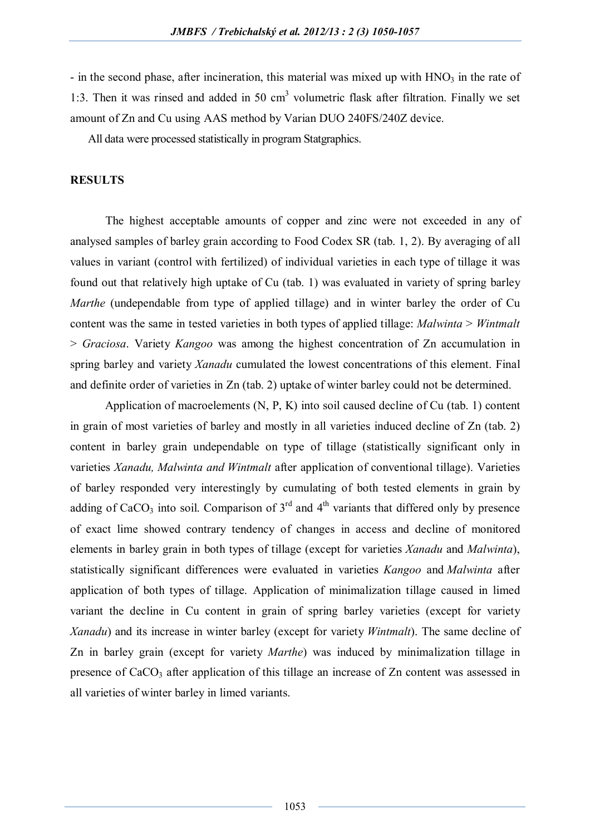- in the second phase, after incineration, this material was mixed up with  $HNO<sub>3</sub>$  in the rate of 1:3. Then it was rinsed and added in 50  $cm<sup>3</sup>$  volumetric flask after filtration. Finally we set amount of Zn and Cu using AAS method by Varian DUO 240FS/240Z device.

All data were processed statistically in program Statgraphics.

## **RESULTS**

The highest acceptable amounts of copper and zinc were not exceeded in any of analysed samples of barley grain according to Food Codex SR (tab. 1, 2). By averaging of all values in variant (control with fertilized) of individual varieties in each type of tillage it was found out that relatively high uptake of Cu (tab. 1) was evaluated in variety of spring barley *Marthe* (undependable from type of applied tillage) and in winter barley the order of Cu content was the same in tested varieties in both types of applied tillage: *Malwinta* > *Wintmalt*  > *Graciosa*. Variety *Kangoo* was among the highest concentration of Zn accumulation in spring barley and variety *Xanadu* cumulated the lowest concentrations of this element. Final and definite order of varieties in Zn (tab. 2) uptake of winter barley could not be determined.

Application of macroelements (N, P, K) into soil caused decline of Cu (tab. 1) content in grain of most varieties of barley and mostly in all varieties induced decline of Zn (tab. 2) content in barley grain undependable on type of tillage (statistically significant only in varieties *Xanadu, Malwinta and Wintmalt* after application of conventional tillage). Varieties of barley responded very interestingly by cumulating of both tested elements in grain by adding of CaCO<sub>3</sub> into soil. Comparison of  $3<sup>rd</sup>$  and  $4<sup>th</sup>$  variants that differed only by presence of exact lime showed contrary tendency of changes in access and decline of monitored elements in barley grain in both types of tillage (except for varieties *Xanadu* and *Malwinta*), statistically significant differences were evaluated in varieties *Kangoo* and *Malwinta* after application of both types of tillage. Application of minimalization tillage caused in limed variant the decline in Cu content in grain of spring barley varieties (except for variety *Xanadu*) and its increase in winter barley (except for variety *Wintmalt*). The same decline of Zn in barley grain (except for variety *Marthe*) was induced by minimalization tillage in presence of CaCO<sub>3</sub> after application of this tillage an increase of Zn content was assessed in all varieties of winter barley in limed variants.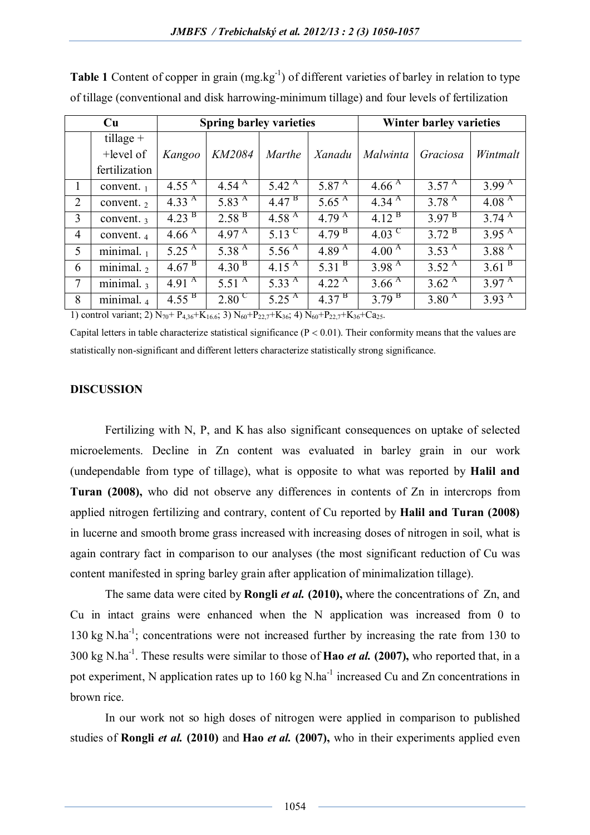| Cu             |                       |                     | <b>Spring barley varieties</b> |                   | <b>Winter barley varieties</b> |                   |                   |                     |
|----------------|-----------------------|---------------------|--------------------------------|-------------------|--------------------------------|-------------------|-------------------|---------------------|
|                | tillage $+$           |                     |                                |                   |                                |                   |                   |                     |
|                | $+level of$           | Kangoo              | KM2084                         | <b>Marthe</b>     | Xanadu                         | Malwinta          | Graciosa          | Wintmalt            |
|                | fertilization         |                     |                                |                   |                                |                   |                   |                     |
| 1              | convent. $_1$         | 4.55 $^{A}$         | 4.54 $^{A}$                    | 5.42 $^{A}$       | 5.87 $^{A}$                    | 4.66 $^{A}$       | $3.57^{\text{A}}$ | 3.99 $^{A}$         |
| $\overline{2}$ | convent. $2$          | 4.33 $\overline{A}$ | 5.83 $^{A}$                    | 4.47 <sup>B</sup> | 5.65 $^{A}$                    | 4.34 $^{\rm A}$   | 3.78 $^{A}$       | 4.08 $^{A}$         |
| 3              | convent. $3$          | $4.23^{\mathrm{B}}$ | $2.58^{B}$                     | 4.58 $^{A}$       | 4.79 $^{A}$                    | $4.12^{B}$        | $3.97^{B}$        | 3.74 $\overline{A}$ |
| 4              | convent. 4            | 4.66 $^{A}$         | 4.97 $^{\rm A}$                | 5.13 <sup>C</sup> | 4.79 <sup>B</sup>              | $4.03^{\circ}$    | $3.72^{\text{B}}$ | $3.95^{\text{A}}$   |
| 5              | minimal. $1$          | 5.25 $^{A}$         | 5.38 <sup>A</sup>              | 5.56 $^{A}$       | $4.89^{\text{A}}$              | 4.00 $^{A}$       | $3.53^{\text{A}}$ | 3.88 <sup>A</sup>   |
| 6              | minimal. $2$          | 4.67 <sup>B</sup>   | 4.30 <sup>B</sup>              | 4.15 $^{A}$       | $5.31^{B}$                     | 3.98 <sup>A</sup> | $3.52^{\text{A}}$ | 3.61 <sup>B</sup>   |
| 7              | minimal. <sub>3</sub> | 4.91 $^{A}$         | 5.51 $^{\rm A}$                | 5.33 $^{\rm A}$   | 4.22 $^{A}$                    | 3.66 $^{A}$       | $3.62^{\text{A}}$ | 3.97 $^{\rm A}$     |
| 8              | minimal. <sub>4</sub> | 4.55 $^{\rm B}$     | $2.80^{\circ}$                 | $5.25^{\text{A}}$ | $4.37^{B}$                     | $3.79^{\text{B}}$ | $3.80^{\text{A}}$ | $3.93^{A}$          |

Table 1 Content of copper in grain (mg.kg<sup>-1</sup>) of different varieties of barley in relation to type of tillage (conventional and disk harrowing-minimum tillage) and four levels of fertilization

1) control variant; 2)  $N_{70}$ +  $P_{4,36}$ + $K_{16,6}$ ; 3)  $N_{60}$ + $P_{22,7}$ + $K_{36}$ ; 4)  $N_{60}$ + $P_{22,7}$ + $K_{36}$ + $Ca_{25}$ .

Capital letters in table characterize statistical significance ( $P < 0.01$ ). Their conformity means that the values are statistically non-significant and different letters characterize statistically strong significance.

## **DISCUSSION**

Fertilizing with N, P, and K has also significant consequences on uptake of selected microelements. Decline in Zn content was evaluated in barley grain in our work (undependable from type of tillage), what is opposite to what was reported by **Halil and Turan (2008),** who did not observe any differences in contents of Zn in intercrops from applied nitrogen fertilizing and contrary, content of Cu reported by **Halil and Turan (2008)** in lucerne and smooth brome grass increased with increasing doses of nitrogen in soil, what is again contrary fact in comparison to our analyses (the most significant reduction of Cu was content manifested in spring barley grain after application of minimalization tillage).

The same data were cited by **Rongli** *et al.* **(2010),** where the concentrations of Zn, and Cu in intact grains were enhanced when the N application was increased from 0 to 130 kg N.ha<sup>-1</sup>; concentrations were not increased further by increasing the rate from 130 to 300 kg N.ha-1 . These results were similar to those of **Hao** *et al.* **(2007),** who reported that, in a pot experiment, N application rates up to 160 kg N.ha<sup>-1</sup> increased Cu and Zn concentrations in brown rice.

In our work not so high doses of nitrogen were applied in comparison to published studies of **Rongli** *et al.* **(2010)** and **Hao** *et al.* **(2007),** who in their experiments applied even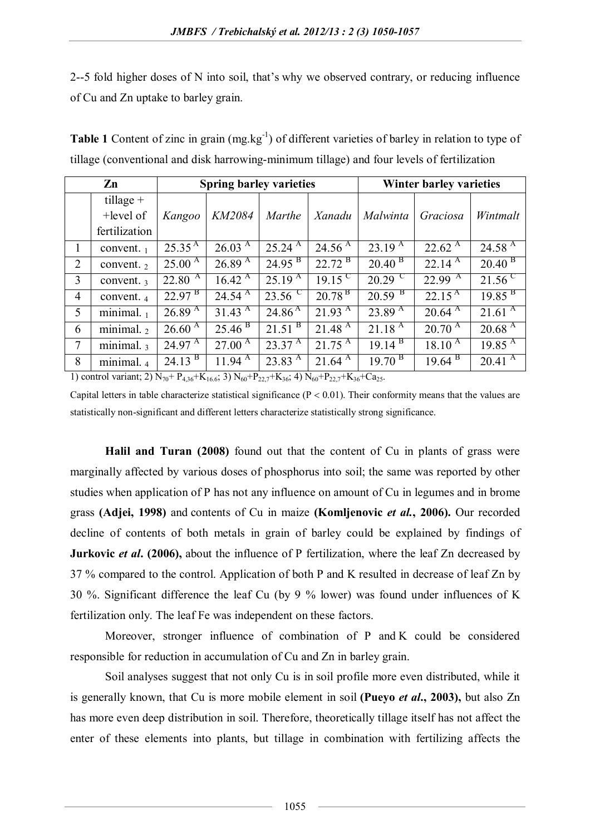2--5 fold higher doses of N into soil, that's why we observed contrary, or reducing influence of Cu and Zn uptake to barley grain.

| $\mathbf{Zn}$   |                                 |                             | <b>Spring barley varieties</b> |                    | <b>Winter barley varieties</b>         |                      |                        |                        |
|-----------------|---------------------------------|-----------------------------|--------------------------------|--------------------|----------------------------------------|----------------------|------------------------|------------------------|
|                 | tillage $+$                     |                             |                                |                    |                                        |                      |                        |                        |
|                 | +level of                       | Kangoo                      | KM2084                         | <b>Marthe</b>      | Xanadu                                 | Malwinta             | Graciosa               | Wintmalt               |
|                 | fertilization                   |                             |                                |                    |                                        |                      |                        |                        |
| 1               | convent. $_1$                   | $25.35^{A}$                 | $26.03 \text{ A}$              | $25.24^{\text{A}}$ | 24.56 $^{A}$                           | 23.19 $\overline{A}$ | $22.62^{\text{A}}$     | $24.58^{\overline{A}}$ |
| 2               | convent. $2$                    | $25.00^{\overline{A}}$      | 26.89 <sup>A</sup>             | 24.95 <sup>B</sup> | $22.72^{\text{B}}$                     | 20.40 <sup>B</sup>   | $22.14^{\text{A}}$     | 20.40 <sup>B</sup>     |
| 3               | convent. 3                      | $22.80^{4}$                 | $16.42 \text{ A}$              | $25.19^{A}$        | $19.15^{\circ}$                        | $20.29$ <sup>C</sup> | $22.99^{\text{A}}$     | $21.56^{\circ}$        |
| $\overline{4}$  | convent. 4                      | $22.97^{\text{B}}$          | $24.54^{\text{A}}$             | $23.56^{\circ}$    | 20.78 <sup>B</sup>                     | 20.59 <sup>B</sup>   | $22.15^{\text{A}}$     | 19.85 <sup>B</sup>     |
| $5\overline{)}$ | minimal. $_1$                   | $26.89^{A}$                 | $31.43 \text{ A}$              | $24.86^{\text{A}}$ | $21.93 \text{ }^{\overline{\text{A}}}$ | $23.89^{A}$          | $20.64 \text{ A}$      | $21.61^{A}$            |
| 6               | $\overline{\text{minimal}}$ . 2 | $26.60^{\overline{A}}$      | 25.46 <sup>B</sup>             | 21.51 <sup>B</sup> | 21.48 <sup>A</sup>                     | $21.18^{A}$          | $20.70^{A}$            | 20.68 <sup>A</sup>     |
| $\overline{7}$  | $\overline{\text{minimal.}}$ 3  | $24.97 \text{ }^{\text{A}}$ | $27.00^{\text{A}}$             | $23.37^{\text{A}}$ | $21.75^{\text{A}}$                     | $19.14^{B}$          | $18.10^{\overline{A}}$ | $19.85^{\text{A}}$     |
| 8               | minimal. <sub>4</sub>           | $24.13^{B}$                 | $11.94 \text{ }^{\text{A}}$    | $23.83^{A}$        | $21.64 \text{ }^{\text{A}}$            | $19.70^{B}$          | $19.64^{B}$            | $20.41^{\overline{A}}$ |

Table 1 Content of zinc in grain (mg.kg<sup>-1</sup>) of different varieties of barley in relation to type of tillage (conventional and disk harrowing-minimum tillage) and four levels of fertilization

1) control variant; 2)  $N_{70}$ +  $P_{4,36}$ + $K_{16,6}$ ; 3)  $N_{60}$ + $P_{22,7}$ + $K_{36}$ ; 4)  $N_{60}$ + $P_{22,7}$ + $K_{36}$ +Ca<sub>25</sub>.

Capital letters in table characterize statistical significance ( $P < 0.01$ ). Their conformity means that the values are statistically non-significant and different letters characterize statistically strong significance.

**Halil and Turan (2008)** found out that the content of Cu in plants of grass were marginally affected by various doses of phosphorus into soil; the same was reported by other studies when application of P has not any influence on amount of Cu in legumes and in brome grass **(Adjei, 1998)** and contents of Cu in maize **(Komljenovic** *et al.***, 2006).** Our recorded decline of contents of both metals in grain of barley could be explained by findings of **Jurkovic** *et al.* (2006), about the influence of P fertilization, where the leaf Zn decreased by 37 % compared to the control. Application of both P and K resulted in decrease of leaf Zn by 30 %. Significant difference the leaf Cu (by 9 % lower) was found under influences of K fertilization only. The leaf Fe was independent on these factors.

Moreover, stronger influence of combination of P and K could be considered responsible for reduction in accumulation of Cu and Zn in barley grain.

Soil analyses suggest that not only Cu is in soil profile more even distributed, while it is generally known, that Cu is more mobile element in soil **(Pueyo** *et al***., 2003),** but also Zn has more even deep distribution in soil. Therefore, theoretically tillage itself has not affect the enter of these elements into plants, but tillage in combination with fertilizing affects the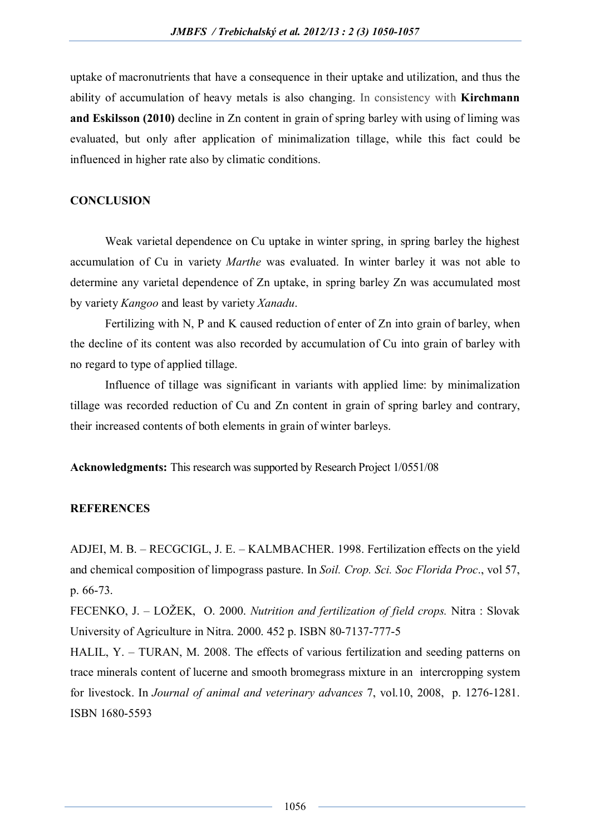uptake of macronutrients that have a consequence in their uptake and utilization, and thus the ability of accumulation of heavy metals is also changing. In consistency with **Kirchmann and Eskilsson (2010)** decline in Zn content in grain of spring barley with using of liming was evaluated, but only after application of minimalization tillage, while this fact could be influenced in higher rate also by climatic conditions.

## **CONCLUSION**

Weak varietal dependence on Cu uptake in winter spring, in spring barley the highest accumulation of Cu in variety *Marthe* was evaluated. In winter barley it was not able to determine any varietal dependence of Zn uptake, in spring barley Zn was accumulated most by variety *Kangoo* and least by variety *Xanadu*.

Fertilizing with N, P and K caused reduction of enter of Zn into grain of barley, when the decline of its content was also recorded by accumulation of Cu into grain of barley with no regard to type of applied tillage.

Influence of tillage was significant in variants with applied lime: by minimalization tillage was recorded reduction of Cu and Zn content in grain of spring barley and contrary, their increased contents of both elements in grain of winter barleys.

**Acknowledgments:** This research was supported by Research Project 1/0551/08

## **REFERENCES**

ADJEI, M. B. – RECGCIGL, J. E. – KALMBACHER. 1998. Fertilization effects on the yield and chemical composition of limpograss pasture. In *Soil. Crop. Sci. Soc Florida Proc*., vol 57, p. 66-73.

FECENKO, J. – LOŽEK, O. 2000. *Nutrition and fertilization of field crops.* Nitra : Slovak University of Agriculture in Nitra. 2000. 452 p. ISBN 80-7137-777-5

HALIL, Y. – TURAN, M. 2008. The effects of various fertilization and seeding patterns on trace minerals content of lucerne and smooth bromegrass mixture in an intercropping system for livestock. In *Journal of animal and veterinary advances* 7, vol.10, 2008, p. 1276-1281. ISBN 1680-5593